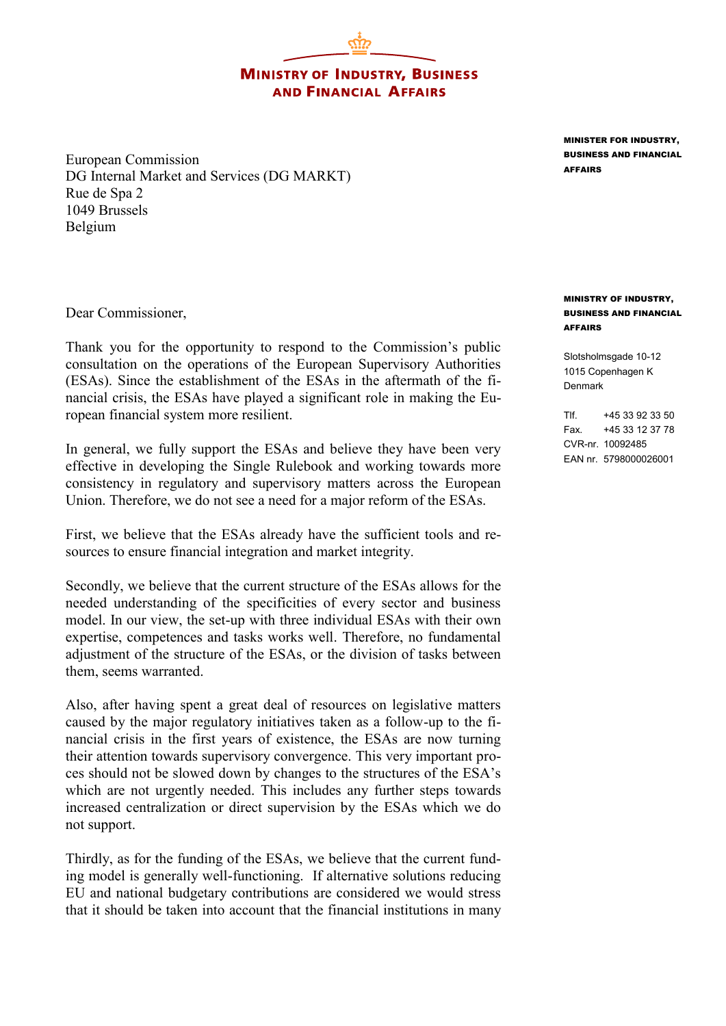**MINISTRY OF INDUSTRY, BUSINESS AND FINANCIAL AFFAIRS** 

European Commission DG Internal Market and Services (DG MARKT) Rue de Spa 2 1049 Brussels Belgium

Dear Commissioner,

Thank you for the opportunity to respond to the Commission's public consultation on the operations of the European Supervisory Authorities (ESAs). Since the establishment of the ESAs in the aftermath of the financial crisis, the ESAs have played a significant role in making the European financial system more resilient.

In general, we fully support the ESAs and believe they have been very effective in developing the Single Rulebook and working towards more consistency in regulatory and supervisory matters across the European Union. Therefore, we do not see a need for a major reform of the ESAs.

First, we believe that the ESAs already have the sufficient tools and resources to ensure financial integration and market integrity.

Secondly, we believe that the current structure of the ESAs allows for the needed understanding of the specificities of every sector and business model. In our view, the set-up with three individual ESAs with their own expertise, competences and tasks works well. Therefore, no fundamental adjustment of the structure of the ESAs, or the division of tasks between them, seems warranted.

Also, after having spent a great deal of resources on legislative matters caused by the major regulatory initiatives taken as a follow-up to the financial crisis in the first years of existence, the ESAs are now turning their attention towards supervisory convergence. This very important proces should not be slowed down by changes to the structures of the ESA's which are not urgently needed. This includes any further steps towards increased centralization or direct supervision by the ESAs which we do not support.

Thirdly, as for the funding of the ESAs, we believe that the current funding model is generally well-functioning. If alternative solutions reducing EU and national budgetary contributions are considered we would stress that it should be taken into account that the financial institutions in many

MINISTER FOR INDUSTRY, BUSINESS AND FINANCIAL AFFAIRS

## MINISTRY OF INDUSTRY, BUSINESS AND FINANCIAL AFFAIRS

Slotsholmsgade 10-12 1015 Copenhagen K Denmark

Tlf. +45 33 92 33 50 Fax. +45 33 12 37 78 CVR-nr. 10092485 EAN nr. 5798000026001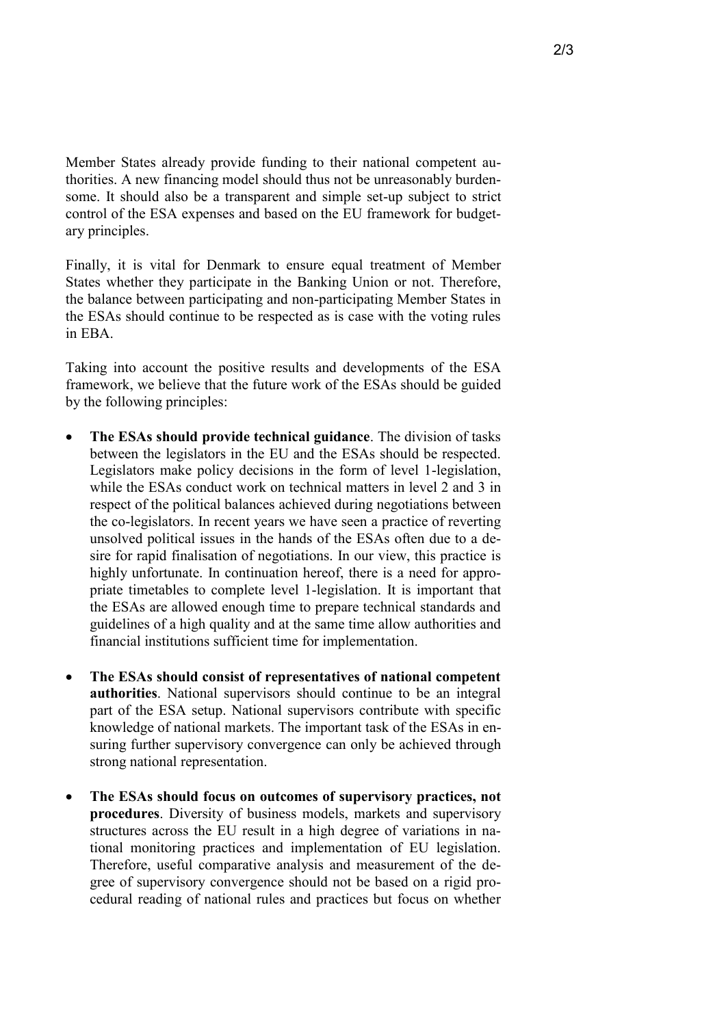Member States already provide funding to their national competent authorities. A new financing model should thus not be unreasonably burdensome. It should also be a transparent and simple set-up subject to strict control of the ESA expenses and based on the EU framework for budgetary principles.

Finally, it is vital for Denmark to ensure equal treatment of Member States whether they participate in the Banking Union or not. Therefore, the balance between participating and non-participating Member States in the ESAs should continue to be respected as is case with the voting rules in EBA.

Taking into account the positive results and developments of the ESA framework, we believe that the future work of the ESAs should be guided by the following principles:

- **The ESAs should provide technical guidance**. The division of tasks between the legislators in the EU and the ESAs should be respected. Legislators make policy decisions in the form of level 1-legislation, while the ESAs conduct work on technical matters in level 2 and 3 in respect of the political balances achieved during negotiations between the co-legislators. In recent years we have seen a practice of reverting unsolved political issues in the hands of the ESAs often due to a desire for rapid finalisation of negotiations. In our view, this practice is highly unfortunate. In continuation hereof, there is a need for appropriate timetables to complete level 1-legislation. It is important that the ESAs are allowed enough time to prepare technical standards and guidelines of a high quality and at the same time allow authorities and financial institutions sufficient time for implementation.
- **The ESAs should consist of representatives of national competent authorities**. National supervisors should continue to be an integral part of the ESA setup. National supervisors contribute with specific knowledge of national markets. The important task of the ESAs in ensuring further supervisory convergence can only be achieved through strong national representation.
- **The ESAs should focus on outcomes of supervisory practices, not procedures**. Diversity of business models, markets and supervisory structures across the EU result in a high degree of variations in national monitoring practices and implementation of EU legislation. Therefore, useful comparative analysis and measurement of the degree of supervisory convergence should not be based on a rigid procedural reading of national rules and practices but focus on whether